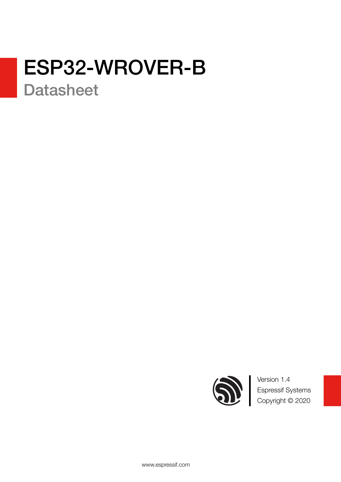# ESP32-WROVER-B

**Datasheet** 



Version 1.4 Espressif Systems Copyright © 2020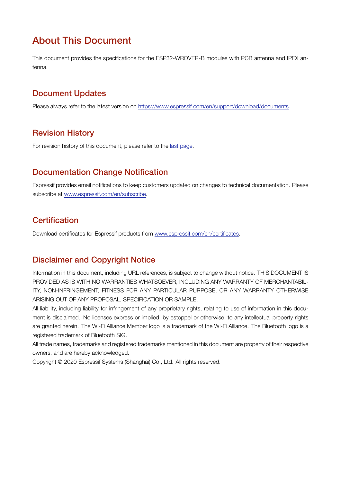### About This Document

This document provides the specifications for the ESP32-WROVER-B modules with PCB antenna and IPEX antenna.

### Document Updates

Please always refer to the latest version on <https://www.espressif.com/en/support/download/documents>.

### Revision History

For revision history of this document, please refer to the [last page](#page-26-0).

#### Documentation Change Notification

Espressif provides email notifications to keep customers updated on changes to technical documentation. Please subscribe at [www.espressif.com/en/subscribe.](http://espressif.com/en/subscribe)

### **Certification**

Download certificates for Espressif products from [www.espressif.com/en/certificates](http://espressif.com/en/certificates).

### Disclaimer and Copyright Notice

Information in this document, including URL references, is subject to change without notice. THIS DOCUMENT IS PROVIDED AS IS WITH NO WARRANTIES WHATSOEVER, INCLUDING ANY WARRANTY OF MERCHANTABIL-ITY, NON-INFRINGEMENT, FITNESS FOR ANY PARTICULAR PURPOSE, OR ANY WARRANTY OTHERWISE ARISING OUT OF ANY PROPOSAL, SPECIFICATION OR SAMPLE.

All liability, including liability for infringement of any proprietary rights, relating to use of information in this document is disclaimed. No licenses express or implied, by estoppel or otherwise, to any intellectual property rights are granted herein. The Wi-Fi Alliance Member logo is a trademark of the Wi-Fi Alliance. The Bluetooth logo is a registered trademark of Bluetooth SIG.

All trade names, trademarks and registered trademarks mentioned in this document are property of their respective owners, and are hereby acknowledged.

Copyright © 2020 Espressif Systems (Shanghai) Co., Ltd. All rights reserved.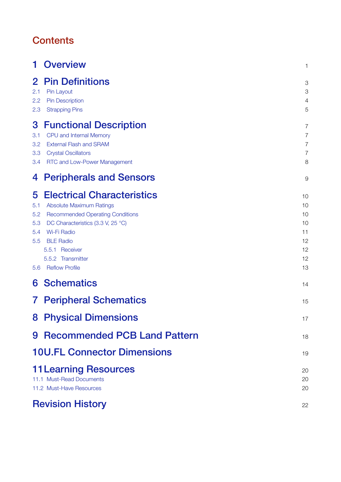### **Contents**

| 1                                           | <b>Overview</b>                                                                                                                                                                                                                                                | $\mathbf{1}$                                                 |
|---------------------------------------------|----------------------------------------------------------------------------------------------------------------------------------------------------------------------------------------------------------------------------------------------------------------|--------------------------------------------------------------|
| $\mathbf{2}$<br>2.1<br>2.2<br>2.3           | <b>Pin Definitions</b><br>Pin Layout<br><b>Pin Description</b><br><b>Strapping Pins</b>                                                                                                                                                                        | 3<br>3<br>$\overline{a}$<br>5                                |
| 3<br>3.1<br>3.2<br>3.3<br>3.4               | <b>Functional Description</b><br>CPU and Internal Memory<br><b>External Flash and SRAM</b><br><b>Crystal Oscillators</b><br><b>RTC and Low-Power Management</b>                                                                                                | 7<br>$\overline{7}$<br>$\overline{7}$<br>$\overline{7}$<br>8 |
| 4                                           | <b>Peripherals and Sensors</b>                                                                                                                                                                                                                                 | 9                                                            |
| 5<br>5.1<br>5.2<br>5.3<br>5.4<br>5.5<br>5.6 | <b>Electrical Characteristics</b><br><b>Absolute Maximum Ratings</b><br><b>Recommended Operating Conditions</b><br>DC Characteristics (3.3 V, 25 °C)<br><b>Wi-Fi Radio</b><br><b>BLE Radio</b><br>5.5.1 Receiver<br>5.5.2 Transmitter<br><b>Reflow Profile</b> | 10<br>10<br>10<br>10<br>11<br>12<br>12<br>12<br>13           |
| 6                                           | <b>Schematics</b>                                                                                                                                                                                                                                              | 14                                                           |
| $\mathbf{7}$                                | <b>Peripheral Schematics</b>                                                                                                                                                                                                                                   | 15                                                           |
|                                             | <b>8 Physical Dimensions</b>                                                                                                                                                                                                                                   | 17                                                           |
|                                             | 9 Recommended PCB Land Pattern                                                                                                                                                                                                                                 | 18                                                           |
|                                             | <b>10U.FL Connector Dimensions</b>                                                                                                                                                                                                                             | 19                                                           |
|                                             | <b>11 Learning Resources</b><br>11.1 Must-Read Documents<br>11.2 Must-Have Resources                                                                                                                                                                           | 20<br>20<br>20                                               |
|                                             | <b>Revision History</b>                                                                                                                                                                                                                                        | 22                                                           |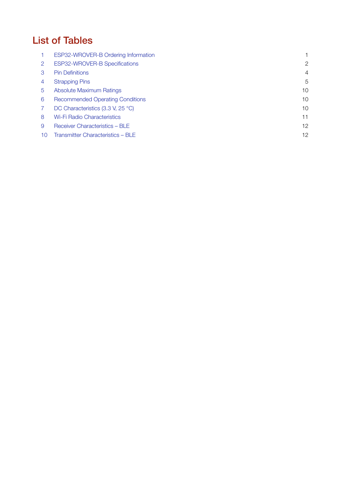### List of Tables

|    | ESP32-WROVER-B Ordering Information     |                |
|----|-----------------------------------------|----------------|
| 2  | ESP32-WROVER-B Specifications           | 2              |
| 3  | <b>Pin Definitions</b>                  | $\overline{4}$ |
| 4  | <b>Strapping Pins</b>                   | 5              |
| 5  | <b>Absolute Maximum Ratings</b>         | 10             |
| 6  | <b>Recommended Operating Conditions</b> | 10             |
|    | DC Characteristics (3.3 V, 25 °C)       | 10             |
| 8  | <b>Wi-Fi Radio Characteristics</b>      | 11             |
| 9  | Receiver Characteristics - BLE          | 12             |
| 10 | Transmitter Characteristics - BLE       | 12             |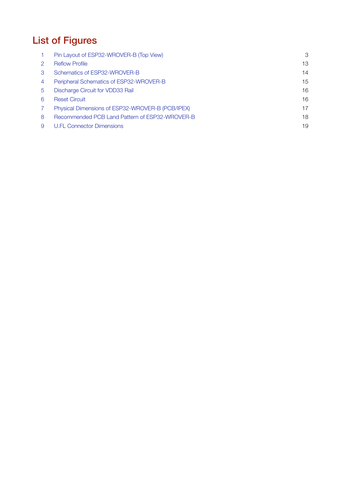# List of Figures

|   | Pin Layout of ESP32-WROVER-B (Top View)          | 3  |
|---|--------------------------------------------------|----|
|   | <b>Reflow Profile</b>                            | 13 |
| 3 | Schematics of ESP32-WROVER-B                     | 14 |
| 4 | Peripheral Schematics of ESP32-WROVER-B          | 15 |
| 5 | Discharge Circuit for VDD33 Rail                 | 16 |
| 6 | <b>Reset Circuit</b>                             | 16 |
|   | Physical Dimensions of ESP32-WROVER-B (PCB/IPEX) | 17 |
| 8 | Recommended PCB Land Pattern of ESP32-WROVER-B   | 18 |
| 9 | <b>U.FL Connector Dimensions</b>                 | 19 |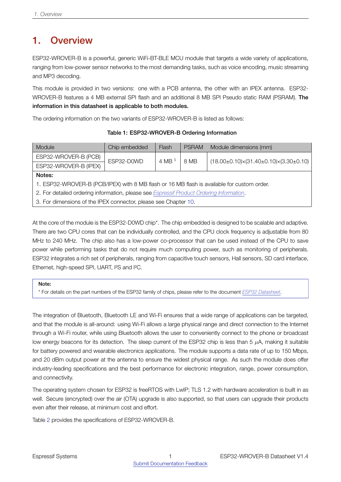### <span id="page-5-0"></span>1. Overview

ESP32-WROVER-B is a powerful, generic WiFi-BT-BLE MCU module that targets a wide variety of applications, ranging from low-power sensor networks to the most demanding tasks, such as voice encoding, music streaming and MP3 decoding.

This module is provided in two versions: one with a PCB antenna, the other with an IPEX antenna. ESP32- WROVER-B features a 4 MB external SPI flash and an additional 8 MB SPI Pseudo static RAM (PSRAM). The information in this datasheet is applicable to both modules.

<span id="page-5-1"></span>The ordering information on the two variants of ESP32-WROVER-B is listed as follows:

Table 1: ESP32-WROVER-B Ordering Information

| Module                                                                                   | Chip embedded                                                                              | Flash     | <b>PSRAM</b> | Module dimensions (mm)                                  |  |  |  |
|------------------------------------------------------------------------------------------|--------------------------------------------------------------------------------------------|-----------|--------------|---------------------------------------------------------|--|--|--|
| ESP32-WROVER-B (PCB)                                                                     | ESP32-D0WD                                                                                 | 4 MB $^1$ | 8 MB         | $(18.00\pm0.10)\times(31.40\pm0.10)\times(3.30\pm0.10)$ |  |  |  |
| ESP32-WROVER-B (IPEX)                                                                    |                                                                                            |           |              |                                                         |  |  |  |
| Notes:                                                                                   |                                                                                            |           |              |                                                         |  |  |  |
|                                                                                          | 1. ESP32-WROVER-B (PCB/IPEX) with 8 MB flash or 16 MB flash is available for custom order. |           |              |                                                         |  |  |  |
| 2. For detailed ordering information, please see Espressif Product Ordering Information. |                                                                                            |           |              |                                                         |  |  |  |
| 3. For dimensions of the IPEX connector, please see Chapter 10.                          |                                                                                            |           |              |                                                         |  |  |  |

At the core of the module is the ESP32-D0WD chip<sup>\*</sup>. The chip embedded is designed to be scalable and adaptive. There are two CPU cores that can be individually controlled, and the CPU clock frequency is adjustable from 80 MHz to 240 MHz. The chip also has a low-power co-processor that can be used instead of the CPU to save power while performing tasks that do not require much computing power, such as monitoring of peripherals. ESP32 integrates a rich set of peripherals, ranging from capacitive touch sensors, Hall sensors, SD card interface, Ethernet, high-speed SPI, UART, I²S and I²C.

Note:

\* For details on the part numbers of the ESP32 family of chips, please refer to the document *[ESP32 Datasheet](http://espressif.com/sites/default/files/documentation/esp32_datasheet_en.pdf)*.

The integration of Bluetooth, Bluetooth LE and Wi-Fi ensures that a wide range of applications can be targeted, and that the module is all-around: using Wi-Fi allows a large physical range and direct connection to the Internet through a Wi-Fi router, while using Bluetooth allows the user to conveniently connect to the phone or broadcast low energy beacons for its detection. The sleep current of the ESP32 chip is less than 5 *µ*A, making it suitable for battery powered and wearable electronics applications. The module supports a data rate of up to 150 Mbps, and 20 dBm output power at the antenna to ensure the widest physical range. As such the module does offer industry-leading specifications and the best performance for electronic integration, range, power consumption, and connectivity.

The operating system chosen for ESP32 is freeRTOS with LwIP; TLS 1.2 with hardware acceleration is built in as well. Secure (encrypted) over the air (OTA) upgrade is also supported, so that users can upgrade their products even after their release, at minimum cost and effort.

Table [2](#page-6-0) provides the specifications of ESP32-WROVER-B.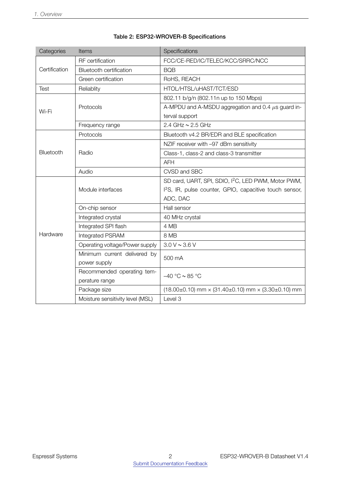<span id="page-6-0"></span>

| Categories    | <b>Items</b>                     | Specifications                                                                   |
|---------------|----------------------------------|----------------------------------------------------------------------------------|
|               | RF certification                 | FCC/CE-RED/IC/TELEC/KCC/SRRC/NCC                                                 |
| Certification | <b>Bluetooth certification</b>   | <b>BQB</b>                                                                       |
|               | Green certification              | RoHS, REACH                                                                      |
| Test          | Reliablity                       | HTOL/HTSL/uHAST/TCT/ESD                                                          |
|               |                                  | 802.11 b/g/n (802.11n up to 150 Mbps)                                            |
| Wi-Fi         | Protocols                        | A-MPDU and A-MSDU aggregation and 0.4 $\mu$ s guard in-                          |
|               |                                  | terval support                                                                   |
|               | Frequency range                  | 2.4 GHz $\sim$ 2.5 GHz                                                           |
|               | Protocols                        | Bluetooth v4.2 BR/EDR and BLE specification                                      |
|               |                                  | NZIF receiver with -97 dBm sensitivity                                           |
| Bluetooth     | Radio                            | Class-1, class-2 and class-3 transmitter                                         |
|               |                                  | <b>AFH</b>                                                                       |
|               | Audio                            | CVSD and SBC                                                                     |
|               |                                  | SD card, UART, SPI, SDIO, I <sup>2</sup> C, LED PWM, Motor PWM,                  |
|               | Module interfaces                | I <sup>2</sup> S, IR, pulse counter, GPIO, capacitive touch sensor,              |
|               |                                  | ADC, DAC                                                                         |
|               | On-chip sensor                   | Hall sensor                                                                      |
|               | Integrated crystal               | 40 MHz crystal                                                                   |
|               | Integrated SPI flash             | 4 MB                                                                             |
| Hardware      | Integrated PSRAM                 | 8 MB                                                                             |
|               | Operating voltage/Power supply   | 3.0 V ~ 3.6 V                                                                    |
|               | Minimum current delivered by     | 500 mA                                                                           |
|               | power supply                     |                                                                                  |
|               | Recommended operating tem-       | $-40 °C \sim 85 °C$                                                              |
|               | perature range                   |                                                                                  |
|               | Package size                     | $(18.00\pm0.10)$ mm $\times$ (31.40 $\pm$ 0.10) mm $\times$ (3.30 $\pm$ 0.10) mm |
|               | Moisture sensitivity level (MSL) | Level 3                                                                          |

#### Table 2: ESP32-WROVER-B Specifications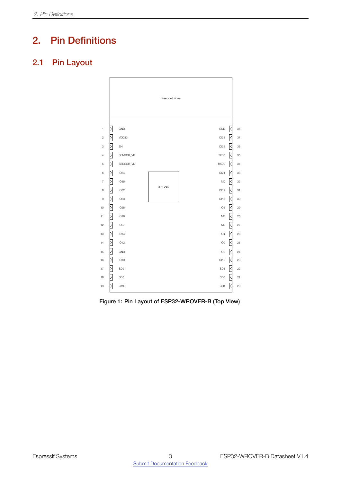### <span id="page-7-0"></span>2. Pin Definitions

### <span id="page-7-2"></span><span id="page-7-1"></span>2.1 Pin Layout



Figure 1: Pin Layout of ESP32-WROVER-B (Top View)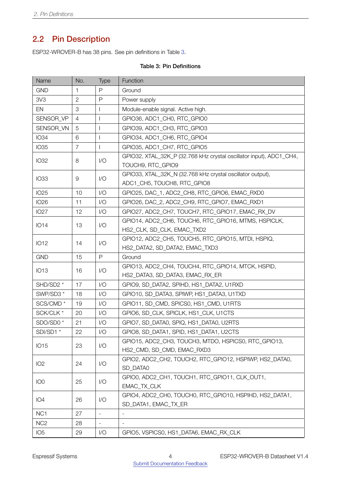### <span id="page-8-0"></span>2.2 Pin Description

<span id="page-8-1"></span>ESP32-WROVER-B has 38 pins. See pin definitions in Table [3](#page-8-1).

#### Table 3: Pin Definitions

| Name                 | No.            | <b>Type</b>              | Function                                                            |
|----------------------|----------------|--------------------------|---------------------------------------------------------------------|
| <b>GND</b>           | 1              | P                        | Ground                                                              |
| 3V3                  | $\overline{2}$ | P                        | Power supply                                                        |
| EN                   | 3              |                          | Module-enable signal. Active high.                                  |
| SENSOR_VP            | 4              |                          | GPIO36, ADC1_CH0, RTC_GPIO0                                         |
| SENSOR_VN            | 5              |                          | GPIO39, ADC1_CH3, RTC_GPIO3                                         |
| <b>IO34</b>          | 6              |                          | GPIO34, ADC1_CH6, RTC_GPIO4                                         |
| <b>IO35</b>          | $\overline{7}$ | $\mathbf{I}$             | GPIO35, ADC1 CH7, RTC GPIO5                                         |
|                      |                |                          | GPIO32, XTAL_32K_P (32.768 kHz crystal oscillator input), ADC1_CH4, |
| <b>IO32</b>          | 8              | 1/O                      | TOUCH9, RTC_GPIO9                                                   |
| <b>IO33</b>          | 9              | 1/O                      | GPIO33, XTAL_32K_N (32.768 kHz crystal oscillator output),          |
|                      |                |                          | ADC1_CH5, TOUCH8, RTC_GPIO8                                         |
| <b>IO25</b>          | 10             | 1/O                      | GPIO25, DAC_1, ADC2_CH8, RTC_GPIO6, EMAC_RXD0                       |
| <b>IO26</b>          | 11             | 1/O                      | GPIO26, DAC_2, ADC2_CH9, RTC_GPIO7, EMAC_RXD1                       |
| <b>IO27</b>          | 12             | 1/O                      | GPIO27, ADC2 CH7, TOUCH7, RTC GPIO17, EMAC RX DV                    |
| <b>IO14</b>          | 13             | 1/O                      | GPIO14, ADC2_CH6, TOUCH6, RTC_GPIO16, MTMS, HSPICLK,                |
|                      |                |                          | HS2_CLK, SD_CLK, EMAC_TXD2                                          |
| <b>IO12</b>          | 14             | $\sqrt{O}$               | GPIO12, ADC2_CH5, TOUCH5, RTC_GPIO15, MTDI, HSPIQ,                  |
|                      |                |                          | HS2_DATA2, SD_DATA2, EMAC_TXD3                                      |
| <b>GND</b>           | 15             | $\mathsf{P}$             | Ground                                                              |
| <b>IO13</b>          | 16             | 1/O                      | GPIO13, ADC2_CH4, TOUCH4, RTC_GPIO14, MTCK, HSPID,                  |
|                      |                |                          | HS2_DATA3, SD_DATA3, EMAC_RX_ER                                     |
| SHD/SD2 *            | 17             | 1/O                      | GPIO9, SD_DATA2, SPIHD, HS1_DATA2, U1RXD                            |
| SWP/SD3 *            | 18             | 1/O                      | GPIO10, SD_DATA3, SPIWP, HS1_DATA3, U1TXD                           |
| SCS/CMD <sup>*</sup> | 19             | 1/O                      | GPIO11, SD_CMD, SPICS0, HS1_CMD, U1RTS                              |
| SCK/CLK *            | 20             | 1/O                      | GPIO6, SD CLK, SPICLK, HS1 CLK, U1CTS                               |
| SDO/SD0 <sup>*</sup> | 21             | 1/O                      | GPIO7, SD_DATA0, SPIQ, HS1_DATA0, U2RTS                             |
| SDI/SD1 *            | 22             | $\sqrt{O}$               | GPIO8, SD_DATA1, SPID, HS1_DATA1, U2CTS                             |
| <b>IO15</b>          | 23             | $\sqrt{O}$               | GPIO15, ADC2_CH3, TOUCH3, MTDO, HSPICS0, RTC_GPIO13,                |
|                      |                |                          | HS2_CMD, SD_CMD, EMAC_RXD3                                          |
| IO <sub>2</sub>      | 24             | $\sqrt{O}$               | GPIO2, ADC2 CH2, TOUCH2, RTC GPIO12, HSPIWP, HS2 DATA0,             |
|                      |                |                          | SD_DATA0                                                            |
| IO <sub>0</sub>      | 25             | $\sqrt{O}$               | GPIO0, ADC2 CH1, TOUCH1, RTC GPIO11, CLK OUT1,                      |
|                      |                |                          | EMAC_TX_CLK                                                         |
| IO <sub>4</sub>      | 26             | 1/O                      | GPIO4, ADC2 CH0, TOUCH0, RTC GPIO10, HSPIHD, HS2 DATA1,             |
|                      |                |                          | SD_DATA1, EMAC_TX_ER                                                |
| NC <sub>1</sub>      | 27             | $\overline{\phantom{a}}$ |                                                                     |
| NC <sub>2</sub>      | 28             |                          |                                                                     |
| IO <sub>5</sub>      | 29             | $\sqrt{O}$               | GPIO5, VSPICS0, HS1_DATA6, EMAC_RX_CLK                              |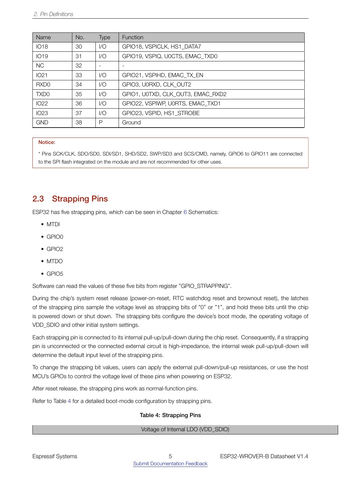| Name             | No. | Type                     | <b>Function</b>                   |
|------------------|-----|--------------------------|-----------------------------------|
| <b>IO18</b>      | 30  | 1/O                      | GPIO18, VSPICLK, HS1_DATA7        |
| <b>IO19</b>      | 31  | 1/O                      | GPIO19, VSPIQ, U0CTS, EMAC TXD0   |
| <b>NC</b>        | 32  | $\overline{\phantom{0}}$ |                                   |
| IO21             | 33  | 1/O                      | GPIO21, VSPIHD, EMAC_TX_EN        |
| RXD <sub>0</sub> | 34  | 1/O                      | GPIO3, U0RXD, CLK OUT2            |
| TXD <sub>0</sub> | 35  | 1/O                      | GPIO1, U0TXD, CLK OUT3, EMAC RXD2 |
| IO22             | 36  | 1/O                      | GPIO22, VSPIWP, U0RTS, EMAC TXD1  |
| IO23             | 37  | 1/O                      | GPIO23, VSPID, HS1 STROBE         |
| <b>GND</b>       | 38  | P                        | Ground                            |

#### Notice:

\* Pins SCK/CLK, SDO/SD0, SDI/SD1, SHD/SD2, SWP/SD3 and SCS/CMD, namely, GPIO6 to GPIO11 are connected to the SPI flash integrated on the module and are not recommended for other uses.

#### <span id="page-9-0"></span>2.3 Strapping Pins

ESP32 has five strapping pins, which can be seen in Chapter [6](#page-18-0) Schematics:

- MTDI
- $\bullet$  GPIO0
- GPIO2
- MTDO
- $\bullet$  GPIO5

Software can read the values of these five bits from register "GPIO\_STRAPPING".

During the chip's system reset release (power-on-reset, RTC watchdog reset and brownout reset), the latches of the strapping pins sample the voltage level as strapping bits of "0" or "1", and hold these bits until the chip is powered down or shut down. The strapping bits configure the device's boot mode, the operating voltage of VDD\_SDIO and other initial system settings.

Each strapping pin is connected to its internal pull-up/pull-down during the chip reset. Consequently, if a strapping pin is unconnected or the connected external circuit is high-impedance, the internal weak pull-up/pull-down will determine the default input level of the strapping pins.

To change the strapping bit values, users can apply the external pull-down/pull-up resistances, or use the host MCU's GPIOs to control the voltage level of these pins when powering on ESP32.

After reset release, the strapping pins work as normal-function pins.

<span id="page-9-1"></span>Refer to Table [4](#page-9-1) for a detailed boot-mode configuration by strapping pins.

#### Table 4: Strapping Pins

Voltage of Internal LDO (VDD\_SDIO)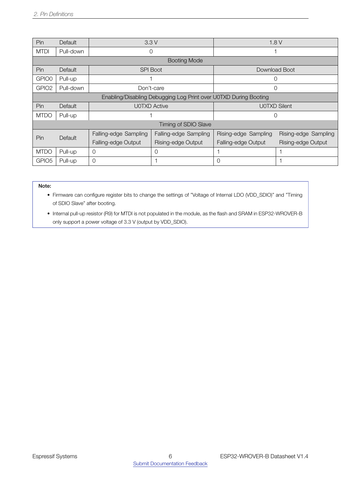| Pin               | Default   |                                  | 3.3V                                                             | 1.8V                 |                      |  |
|-------------------|-----------|----------------------------------|------------------------------------------------------------------|----------------------|----------------------|--|
| <b>MTDI</b>       | Pull-down |                                  | 0                                                                |                      |                      |  |
|                   |           |                                  | <b>Booting Mode</b>                                              |                      |                      |  |
| Pin               | Default   |                                  | <b>SPI Boot</b>                                                  |                      | Download Boot        |  |
| GPIO0             | Pull-up   |                                  |                                                                  |                      | 0                    |  |
| GPIO <sub>2</sub> | Pull-down |                                  | Don't-care                                                       |                      | 0                    |  |
|                   |           |                                  | Enabling/Disabling Debugging Log Print over U0TXD During Booting |                      |                      |  |
| Pin.              | Default   |                                  | <b>U0TXD Active</b>                                              |                      | <b>UOTXD Silent</b>  |  |
| <b>MTDO</b>       | Pull-up   |                                  |                                                                  | 0                    |                      |  |
|                   |           |                                  | Timing of SDIO Slave                                             |                      |                      |  |
| Pin               | Default   | Falling-edge Sampling            | Falling-edge Sampling                                            | Rising-edge Sampling | Rising-edge Sampling |  |
|                   |           | Falling-edge Output              | Rising-edge Output                                               | Falling-edge Output  | Rising-edge Output   |  |
| <b>MTDO</b>       | Pull-up   | $\overline{0}$<br>$\overline{0}$ |                                                                  |                      |                      |  |
| GPIO <sub>5</sub> | Pull-up   | 0                                |                                                                  | O                    |                      |  |

#### Note:

• Firmware can configure register bits to change the settings of "Voltage of Internal LDO (VDD\_SDIO)" and "Timing of SDIO Slave" after booting.

• Internal pull-up resistor (R9) for MTDI is not populated in the module, as the flash and SRAM in ESP32-WROVER-B only support a power voltage of 3.3 V (output by VDD\_SDIO).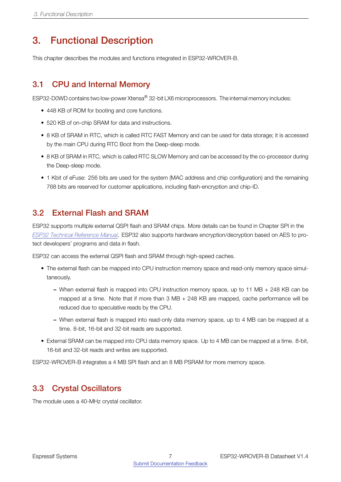### <span id="page-11-0"></span>3. Functional Description

This chapter describes the modules and functions integrated in ESP32-WROVER-B.

### <span id="page-11-1"></span>3.1 CPU and Internal Memory

ESP32-D0WD contains two low-power Xtensa® 32-bit LX6 microprocessors. The internal memory includes:

- 448 KB of ROM for booting and core functions.
- 520 KB of on-chip SRAM for data and instructions.
- 8 KB of SRAM in RTC, which is called RTC FAST Memory and can be used for data storage; it is accessed by the main CPU during RTC Boot from the Deep-sleep mode.
- 8 KB of SRAM in RTC, which is called RTC SLOW Memory and can be accessed by the co-processor during the Deep-sleep mode.
- 1 Kbit of eFuse: 256 bits are used for the system (MAC address and chip configuration) and the remaining 768 bits are reserved for customer applications, including flash-encryption and chip-ID.

### <span id="page-11-2"></span>3.2 External Flash and SRAM

ESP32 supports multiple external QSPI flash and SRAM chips. More details can be found in Chapter SPI in the *[ESP32 Technical Reference Manual](http://espressif.com/sites/default/files/documentation/esp32_technical_reference_manual_en.pdf)*. ESP32 also supports hardware encryption/decryption based on AES to protect developers' programs and data in flash.

ESP32 can access the external QSPI flash and SRAM through high-speed caches.

- The external flash can be mapped into CPU instruction memory space and read-only memory space simultaneously.
	- When external flash is mapped into CPU instruction memory space, up to 11 MB + 248 KB can be mapped at a time. Note that if more than 3 MB + 248 KB are mapped, cache performance will be reduced due to speculative reads by the CPU.
	- When external flash is mapped into read-only data memory space, up to 4 MB can be mapped at a time. 8-bit, 16-bit and 32-bit reads are supported.
- External SRAM can be mapped into CPU data memory space. Up to 4 MB can be mapped at a time. 8-bit, 16-bit and 32-bit reads and writes are supported.

ESP32-WROVER-B integrates a 4 MB SPI flash and an 8 MB PSRAM for more memory space.

### <span id="page-11-3"></span>3.3 Crystal Oscillators

The module uses a 40-MHz crystal oscillator.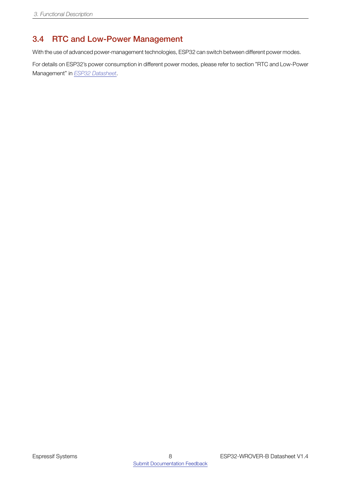### <span id="page-12-0"></span>3.4 RTC and Low-Power Management

With the use of advanced power-management technologies, ESP32 can switch between different power modes.

For details on ESP32's power consumption in different power modes, please refer to section "RTC and Low-Power Management" in *[ESP32 Datasheet](http://espressif.com/sites/default/files/documentation/esp32_datasheet_en.pdf)*.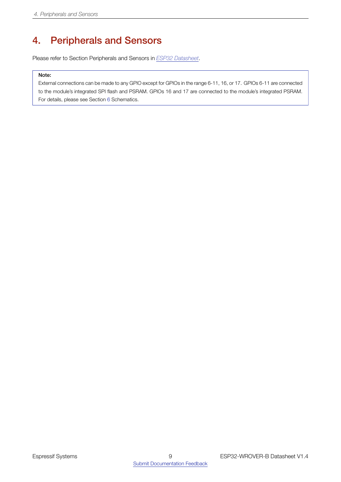### <span id="page-13-0"></span>4. Peripherals and Sensors

Please refer to Section Peripherals and Sensors in *[ESP32 Datasheet](http://espressif.com/sites/default/files/documentation/esp32_datasheet_en.pdf)*.

#### Note:

External connections can be made to any GPIO except for GPIOs in the range 6-11, 16, or 17. GPIOs 6-11 are connected to the module's integrated SPI flash and PSRAM. GPIOs 16 and 17 are connected to the module's integrated PSRAM. For details, please see Section [6](#page-18-0) Schematics.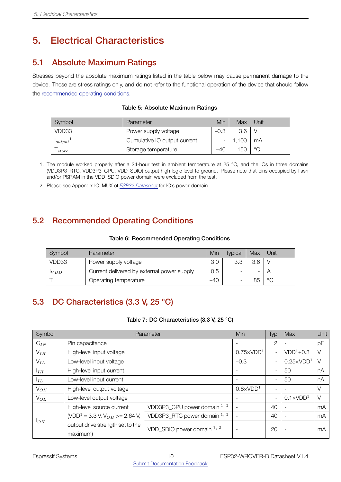### <span id="page-14-0"></span>5. Electrical Characteristics

### <span id="page-14-1"></span>5.1 Absolute Maximum Ratings

Stresses beyond the absolute maximum ratings listed in the table below may cause permanent damage to the device. These are stress ratings only, and do not refer to the functional operation of the device that should follow the [recommended operating conditions.](#page-14-5)

<span id="page-14-4"></span>

| Symbol       | Parameter                    | Min    | Max   | Unit |
|--------------|------------------------------|--------|-------|------|
| VDD33        | Power supply voltage         | $-0.3$ | 3.6   |      |
| $I_{output}$ | Cumulative IO output current |        | 1.100 | mA   |
| store        | Storage temperature          | $-40$  | 150   | °C   |

#### Table 5: Absolute Maximum Ratings

- 1. The module worked properly after a 24-hour test in ambient temperature at 25 °C, and the IOs in three domains (VDD3P3\_RTC, VDD3P3\_CPU, VDD\_SDIO) output high logic level to ground. Please note that pins occupied by flash and/or PSRAM in the VDD\_SDIO power domain were excluded from the test.
- 2. Please see Appendix IO\_MUX of *[ESP32 Datasheet](http://espressif.com/sites/default/files/documentation/esp32_datasheet_en.pdf)* for IO's power domain.

### <span id="page-14-2"></span>5.2 Recommended Operating Conditions

#### Table 6: Recommended Operating Conditions

<span id="page-14-5"></span>

| Symbol | Parameter                                  | Min   | Tvpical | Max | Unit    |
|--------|--------------------------------------------|-------|---------|-----|---------|
| VDD33  | Power supply voltage                       | 3.0   | 3.3     | 3.6 |         |
| VDD    | Current delivered by external power supply | 0.5   |         |     |         |
|        | Operating temperature                      | $-40$ |         | 85  | $\circ$ |

### <span id="page-14-3"></span>5.3 DC Characteristics (3.3 V, 25 °C)

#### Table 7: DC Characteristics (3.3 V, 25 °C)

<span id="page-14-6"></span>

| Symbol          | Parameter                                             |                              |                          | Typ                      | Max                | Unit |
|-----------------|-------------------------------------------------------|------------------------------|--------------------------|--------------------------|--------------------|------|
| $C_{IN}$        | Pin capacitance                                       |                              |                          | 2                        |                    | pF   |
| $V_{IH}$        | High-level input voltage                              |                              | $0.75 \times VDD1$       | $\sim$                   | $VDD1+0.3$         | V    |
| $V_{IL}$        | Low-level input voltage                               |                              | $-0.3$                   | $\overline{\phantom{a}}$ | $0.25 \times VDD1$ | V    |
| I <sub>IH</sub> | High-level input current                              |                              |                          | $\overline{\phantom{a}}$ | 50                 | nA   |
| $I_{IL}$        | Low-level input current                               |                              | $\overline{\phantom{0}}$ | 50                       | nA                 |      |
| $V_{OH}$        | High-level output voltage                             |                              |                          |                          |                    | V    |
| $V_{OL}$        | Low-level output voltage                              | $\qquad \qquad$              | $\overline{\phantom{a}}$ | $0.1 \times VDD1$        | V                  |      |
|                 | High-level source current                             | VDD3P3_CPU power domain 1, 2 |                          | 40                       |                    | mA   |
| $1_{OH}$        | (VDD <sup>1</sup> = 3.3 V, V <sub>OH</sub> >= 2.64 V, | VDD3P3_RTC power domain 1, 2 |                          | 40                       |                    | mA   |
|                 | output drive strength set to the<br>maximum)          | VDD SDIO power domain $1, 3$ | ٠                        | 20                       |                    | mA   |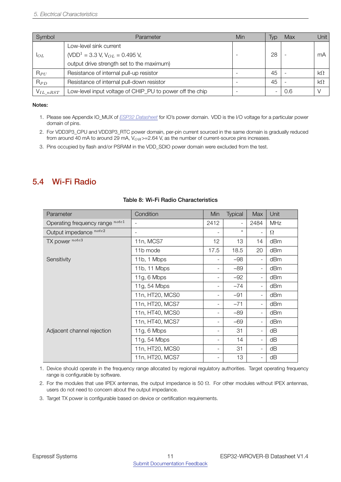| Symbol         | Parameter                                                | Min | Typ             | Max | Unit l    |
|----------------|----------------------------------------------------------|-----|-----------------|-----|-----------|
|                | Low-level sink current                                   |     |                 |     |           |
| $1_{OL}$       | (VDD <sup>1</sup> = 3.3 V, V <sub>OL</sub> = 0.495 V,    |     | 28              |     | mA        |
|                | output drive strength set to the maximum)                |     |                 |     |           |
| $R_{PU}$       | Resistance of internal pull-up resistor                  |     | 45              |     | $k\Omega$ |
| $R_{PD}$       | Resistance of internal pull-down resistor                |     | 45              |     | $k\Omega$ |
| $V_{IL\_nRST}$ | Low-level input voltage of CHIP_PU to power off the chip |     | $\qquad \qquad$ | 0.6 |           |

#### Notes:

- 1. Please see Appendix IO\_MUX of *[ESP32 Datasheet](http://espressif.com/sites/default/files/documentation/esp32_datasheet_en.pdf)* for IO's power domain. VDD is the I/O voltage for a particular power domain of pins.
- 2. For VDD3P3\_CPU and VDD3P3\_RTC power domain, per-pin current sourced in the same domain is gradually reduced from around 40 mA to around 29 mA, V<sub>OH</sub>>=2.64 V, as the number of current-source pins increases.
- 3. Pins occupied by flash and/or PSRAM in the VDD\_SDIO power domain were excluded from the test.

#### <span id="page-15-0"></span>5.4 Wi-Fi Radio

<span id="page-15-1"></span>

| Parameter                       | Condition                | Min                      | <b>Typical</b> | Max                      | Unit       |
|---------------------------------|--------------------------|--------------------------|----------------|--------------------------|------------|
| Operating frequency range note1 |                          | 2412                     |                | 2484                     | <b>MHz</b> |
| Output impedance note2          | $\overline{\phantom{a}}$ | $\overline{\phantom{a}}$ | $\star$        | $\overline{\phantom{0}}$ | $\Omega$   |
| TX power note3                  | 11n, MCS7                | 12                       | 13             | 14                       | dBm        |
|                                 | 11b mode                 | 17.5                     | 18.5           | 20                       | dBm        |
| Sensitivity                     | 11b, 1 Mbps              |                          | $-98$          | $\overline{\phantom{0}}$ | dBm        |
|                                 | 11b, 11 Mbps             |                          | $-89$          | $\overline{\phantom{a}}$ | dBm        |
|                                 | 11g, 6 Mbps              | $\overline{\phantom{a}}$ | $-92$          | $\blacksquare$           | dBm        |
|                                 | 11g, 54 Mbps             | $\overline{\phantom{a}}$ | $-74$          | $\blacksquare$           | dBm        |
|                                 | 11n, HT20, MCS0          | $\overline{\phantom{a}}$ | $-91$          | $\overline{\phantom{0}}$ | dBm        |
|                                 | 11n, HT20, MCS7          | -                        | $-71$          | $\overline{\phantom{a}}$ | dBm        |
|                                 | 11n, HT40, MCS0          |                          | $-89$          | $\overline{\phantom{0}}$ | dBm        |
|                                 | 11n, HT40, MCS7          |                          | $-69$          | $\overline{\phantom{0}}$ | dBm        |
| Adjacent channel rejection      | $11g, 6$ Mbps            | -                        | 31             | $\overline{\phantom{0}}$ | dB         |
|                                 | 11g, 54 Mbps             | $\overline{\phantom{a}}$ | 14             | Ξ.                       | dB         |
|                                 | 11n, HT20, MCS0          | $\overline{\phantom{a}}$ | 31             | $\overline{\phantom{0}}$ | dB         |
|                                 | 11n, HT20, MCS7          | -                        | 13             | $\overline{\phantom{0}}$ | dB         |

#### Table 8: Wi-Fi Radio Characteristics

1. Device should operate in the frequency range allocated by regional regulatory authorities. Target operating frequency range is configurable by software.

2. For the modules that use IPEX antennas, the output impedance is 50  $\Omega$ . For other modules without IPEX antennas, users do not need to concern about the output impedance.

3. Target TX power is configurable based on device or certification requirements.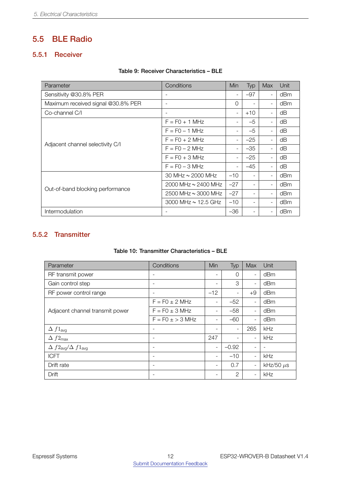### <span id="page-16-0"></span>5.5 BLE Radio

#### <span id="page-16-1"></span>5.5.1 Receiver

#### Table 9: Receiver Characteristics – BLE

<span id="page-16-3"></span>

| Parameter                          | Conditions                 | Min                      | Typ                      | <b>Max</b>               | Unit |
|------------------------------------|----------------------------|--------------------------|--------------------------|--------------------------|------|
| Sensitivity @30.8% PER             | -                          | $\overline{\phantom{a}}$ | $-97$                    | $\overline{\phantom{a}}$ | dBm  |
| Maximum received signal @30.8% PER | $\qquad \qquad -$          | $\Omega$                 |                          | $\overline{\phantom{a}}$ | dBm  |
| Co-channel C/I                     | $\overline{\phantom{0}}$   | $\overline{\phantom{a}}$ | $+10$                    | $\blacksquare$           | dB   |
| Adjacent channel selectivity C/I   | $F = F0 + 1$ MHz           | $\overline{\phantom{a}}$ | $-5$                     |                          | dB   |
|                                    | $F = F0 - 1$ MHz           |                          | $-5$                     |                          | dB   |
|                                    | $F = FO + 2 MHz$           |                          | $-25$                    | $\blacksquare$           | dB   |
|                                    | $F = FO - 2 MHz$           |                          | $-35$                    |                          | dΒ   |
|                                    | $F = F0 + 3 MHz$           | $\overline{\phantom{0}}$ | $-25$                    | $\sim$                   | dB   |
|                                    | $F = FO - 3 MHz$           |                          | $-45$                    | $\overline{\phantom{a}}$ | dB   |
| Out-of-band blocking performance   | 30 MHz $\sim$ 2000 MHz     | $-10$                    |                          | $\overline{\phantom{a}}$ | dBm  |
|                                    | $2000$ MHz $\sim$ 2400 MHz | $-27$                    |                          | $\blacksquare$           | dBm  |
|                                    | $2500$ MHz $\sim$ 3000 MHz | $-27$                    |                          |                          | dBm  |
|                                    | 3000 MHz $\sim$ 12.5 GHz   | $-10$                    | $\overline{\phantom{a}}$ | $\blacksquare$           | dBm  |
| Intermodulation                    |                            | $-36$                    |                          |                          | dBm  |

#### <span id="page-16-4"></span><span id="page-16-2"></span>5.5.2 Transmitter

#### Table 10: Transmitter Characteristics – BLE

| Parameter                                       | Conditions                   | Min                      | Typ                      | Max                      | Unit           |
|-------------------------------------------------|------------------------------|--------------------------|--------------------------|--------------------------|----------------|
| RF transmit power                               | $\overline{\phantom{a}}$     | $\overline{\phantom{a}}$ | 0                        | $\overline{\phantom{a}}$ | dBm            |
| Gain control step                               | $\overline{\phantom{a}}$     |                          | 3                        | $\overline{\phantom{a}}$ | dBm            |
| RF power control range                          | $\overline{\phantom{a}}$     | $-12$                    | $\overline{\phantom{a}}$ | $+9$                     | dBm            |
| Adjacent channel transmit power                 | $F = F0 \pm 2$ MHz           |                          | $-52$                    | $\blacksquare$           | dBm            |
|                                                 | $F = F0 \pm 3$ MHz           |                          | $-58$                    | $\qquad \qquad -$        | dBm            |
|                                                 | $F = F0 \pm 3$ MHz           |                          | $-60$                    | $\overline{\phantom{a}}$ | dBm            |
| $\Delta f1_{avg}$                               | ٠                            |                          | $\overline{\phantom{a}}$ | 265                      | kHz            |
| $\Delta f2_{\text{max}}$                        | $\qquad \qquad$              | 247                      |                          | $\overline{\phantom{a}}$ | kHz            |
| $\Delta f2_{\text{avg}}/\Delta f1_{\text{avg}}$ | $\overline{\phantom{a}}$     | $\overline{\phantom{a}}$ | $-0.92$                  | $\qquad \qquad$          |                |
| <b>ICFT</b>                                     | $\overline{\phantom{a}}$     | $\overline{\phantom{a}}$ | $-10$                    | $\overline{\phantom{a}}$ | kHz            |
| Drift rate                                      | $\qquad \qquad \blacksquare$ | $\overline{\phantom{a}}$ | 0.7                      | $\qquad \qquad -$        | kHz/50 $\mu$ s |
| Drift                                           | $\overline{\phantom{a}}$     |                          | $\overline{2}$           | $\overline{\phantom{a}}$ | kHz            |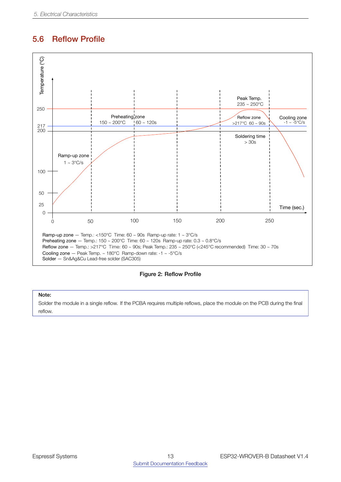### <span id="page-17-0"></span>5.6 Reflow Profile

<span id="page-17-1"></span>

Figure 2: Reflow Profile

#### Note:

Solder the module in a single reflow. If the PCBA requires multiple reflows, place the module on the PCB during the final reflow.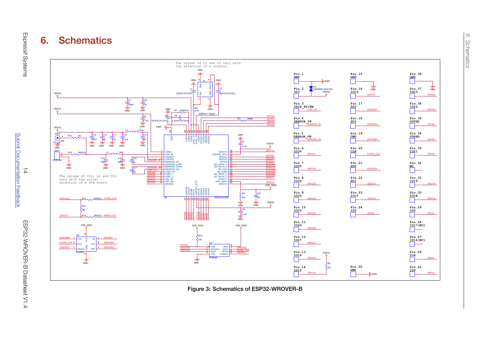

<span id="page-18-0"></span>Figure 3: Schematics of ESP32-WROVER-B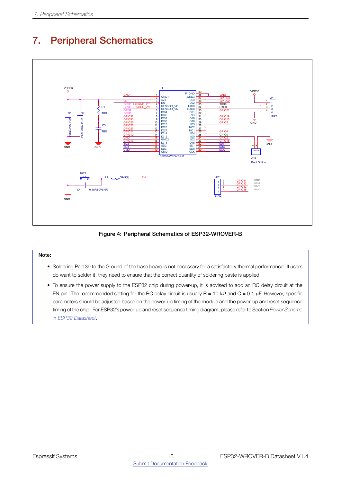

### <span id="page-19-1"></span><span id="page-19-0"></span>7. Peripheral Schematics

Figure 4: Peripheral Schematics of ESP32-WROVER-B

#### Note:

- B B • Soldering Pad 39 to the Ground of the base board is not necessary for a satisfactory thermal performance. If users do want to solder it, they need to ensure that the correct quantity of soldering paste is applied.
	- To ensure the power supply to the ESP32 chip during power-up, it is advised to add an RC delay circuit at the EN pin. The recommended setting for the RC delay circuit is usually R = 10 kΩ and C = 0.1 *µ*F. However, specific parameters should be adjusted based on the power-up timing of the module and the power-up and reset sequence timing of the chip. For ESP32's power-up and reset sequence timing diagram, please refer to Section *Power Scheme* in *[ESP32 Datasheet](http://espressif.com/sites/default/files/documentation/esp32_datasheet_en.pdf)*.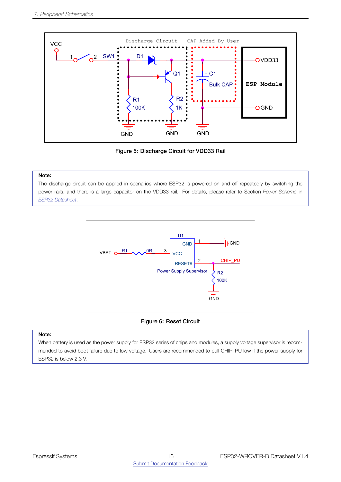<span id="page-20-0"></span>

Figure 5: Discharge Circuit for VDD33 Rail

#### Note:

<span id="page-20-1"></span>The discharge circuit can be applied in scenarios where ESP32 is powered on and off repeatedly by switching the power rails, and there is a large capacitor on the VDD33 rail. For details, please refer to Section *Power Scheme* in *[ESP32 Datasheet](http://espressif.com/sites/default/files/documentation/esp32_datasheet_en.pdf)*.



#### Figure 6: Reset Circuit

#### Note:

When battery is used as the power supply for ESP32 series of chips and modules, a supply voltage supervisor is recommended to avoid boot failure due to low voltage. Users are recommended to pull CHIP\_PU low if the power supply for ESP32 is below 2.3 V.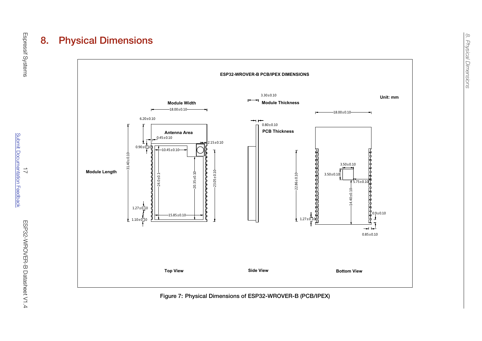

<span id="page-21-0"></span>Figure 7: Physical Dimensions of ESP32-WROVER-B (PCB/IPEX)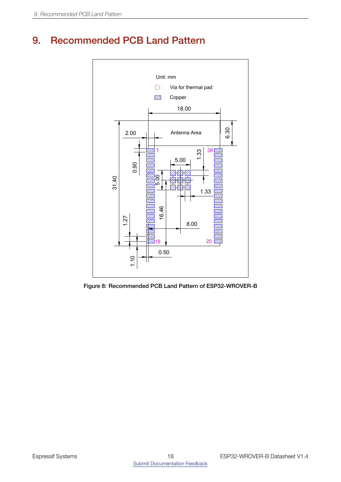### <span id="page-22-1"></span><span id="page-22-0"></span>9. Recommended PCB Land Pattern



Figure 8: Recommended PCB Land Pattern of ESP32-WROVER-B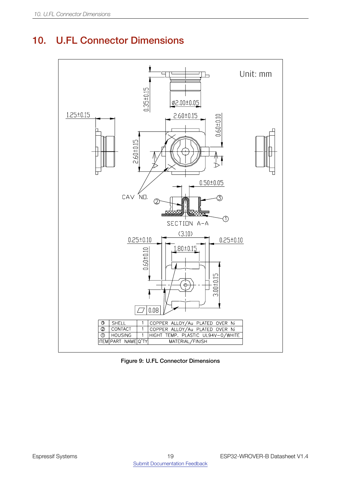### <span id="page-23-1"></span><span id="page-23-0"></span>10. U.FL Connector Dimensions



Figure 9: U.FL Connector Dimensions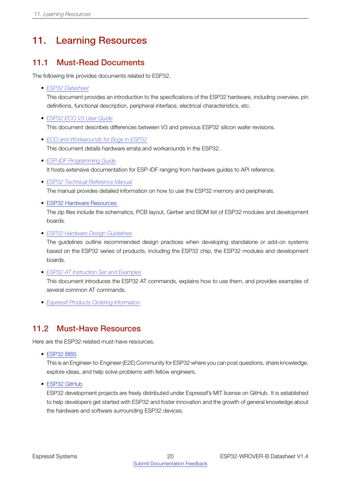## <span id="page-24-0"></span>11. Learning Resources

### <span id="page-24-1"></span>11.1 Must-Read Documents

The following link provides documents related to ESP32.

• *[ESP32 Datasheet](http://espressif.com/sites/default/files/documentation/esp32_datasheet_en.pdf)*

This document provides an introduction to the specifications of the ESP32 hardware, including overview, pin definitions, functional description, peripheral interface, electrical characteristics, etc.

- *[ESP32 ECO V3 User Guide](https://www.espressif.com/sites/default/files/documentation/ESP32_ECO_V3_User_Guide__EN.pdf)* This document describes differences between V3 and previous ESP32 silicon wafer revisions.
- *[ECO and Workarounds for Bugs in ESP32](https://www.espressif.com/sites/default/files/documentation/eco_and_workarounds_for_bugs_in_esp32_en.pdf)* This document details hardware errata and workarounds in the ESP32.
- *[ESP-IDF Programming Guide](https://docs.espressif.com/projects/esp-idf/en/latest/)* It hosts extensive documentation for ESP-IDF ranging from hardware guides to API reference.
- *[ESP32 Technical Reference Manual](http://espressif.com/sites/default/files/documentation/esp32_technical_reference_manual_en.pdf)* The manual provides detailed information on how to use the ESP32 memory and peripherals.
- ESP32 Hardware [Resources](http://espressif.com/en/support/download/documents?keys=reference+design)

The zip files include the schematics, PCB layout, Gerber and BOM list of ESP32 modules and development boards.

• *[ESP32 Hardware Design Guidelines](http://espressif.com/sites/default/files/documentation/esp32_hardware_design_guidelines_en.pdf)*

The guidelines outline recommended design practices when developing standalone or add-on systems based on the ESP32 series of products, including the ESP32 chip, the ESP32 modules and development boards.

• *[ESP32 AT Instruction Set and Examples](http://www.espressif.com/sites/default/files/documentation/esp32_at_instruction_set_and_examples_en.pdf)*

This document introduces the ESP32 AT commands, explains how to use them, and provides examples of several common AT commands.

• *[Espressif Products Ordering Information](http://www.espressif.com/sites/default/files/documentation/espressif_products_ordering_information_en.pdf)*

### <span id="page-24-2"></span>11.2 Must-Have Resources

Here are the ESP32-related must-have resources.

• [ESP32](https://www.esp32.com) BBS

This is an Engineer-to-Engineer (E2E) Community for ESP32 where you can post questions, share knowledge, explore ideas, and help solve problems with fellow engineers.

• ESP32 [GitHub](https://github.com/espressif)

ESP32 development projects are freely distributed under Espressif's MIT license on GitHub. It is established to help developers get started with ESP32 and foster innovation and the growth of general knowledge about the hardware and software surrounding ESP32 devices.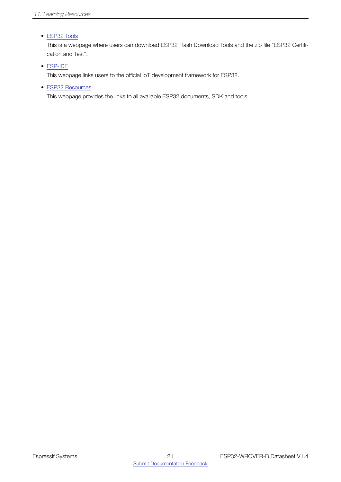#### • [ESP32](http://www.espressif.com/en/support/download/other-tools?keys=&field_type_tid%5B%5D=13) Tools

This is a webpage where users can download ESP32 Flash Download Tools and the zip file "ESP32 Certification and Test".

#### • [ESP-IDF](http://www.espressif.com/en/support/download/sdks-demos?keys=&field_type_tid%5B%5D=13)

This webpage links users to the official IoT development framework for ESP32.

• ESP32 [Resources](http://www.espressif.com/en/products/hardware/esp32/resources)

This webpage provides the links to all available ESP32 documents, SDK and tools.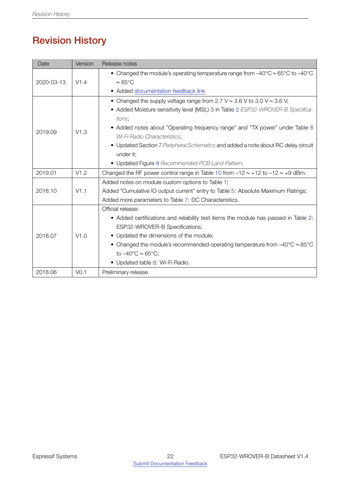## Revision History

<span id="page-26-0"></span>

| Date       | Version          | Release notes                                                                                                     |
|------------|------------------|-------------------------------------------------------------------------------------------------------------------|
|            | V1.4             | • Changed the module's operating temperature range from $-40^{\circ}$ C $\sim$ 65 $^{\circ}$ C to $-40^{\circ}$ C |
| 2020-03-13 |                  | $\sim 85^{\circ}$ C                                                                                               |
|            |                  | • Added documentation feedback link                                                                               |
| 2019.09    | V1.3             | • Changed the supply voltage range from 2.7 V $\sim$ 3.6 V to 3.0 V $\sim$ 3.6 V;                                 |
|            |                  | • Added Moisture sensitivity level (MSL) 3 in Table 2 ESP32-WROVER-B Specifica-                                   |
|            |                  | tions;                                                                                                            |
|            |                  | • Added notes about "Operating frequency range" and "TX power" under Table 8                                      |
|            |                  | Wi-Fi Radio Characteristics;                                                                                      |
|            |                  | • Updated Section 7 Peripheral Schematics and added a note about RC delay circuit                                 |
|            |                  | under it;                                                                                                         |
|            |                  | • Updated Figure 9 Recommended PCB Land Pattern.                                                                  |
| 2019.01    | V1.2             | Changed the RF power control range in Table 10 from $-12 \sim +12$ to $-12 \sim +9$ dBm.                          |
|            |                  | Added notes on module custom options to Table 1;                                                                  |
| 2018.10    | V1.1             | Added "Cumulative IO output current" entry to Table 5: Absolute Maximum Ratings;                                  |
|            |                  | Added more parameters to Table 7: DC Characteristics.                                                             |
| 2018.07    |                  | Official release:                                                                                                 |
|            | V1.0             | • Added certifications and reliability test items the module has passed in Table 2:                               |
|            |                  | ESP32-WROVER-B Specifications;                                                                                    |
|            |                  | • Updated the dimensions of the module;                                                                           |
|            |                  | • Changed the module's recommended operating temperature from $-40^{\circ}$ C $\sim$ 85 $^{\circ}$ C              |
|            |                  | to $-40^{\circ}$ C ~ 65 $^{\circ}$ C;                                                                             |
|            |                  | • Updated table 8: Wi-Fi Radio.                                                                                   |
| 2018.06    | V <sub>0.1</sub> | Preliminary release.                                                                                              |